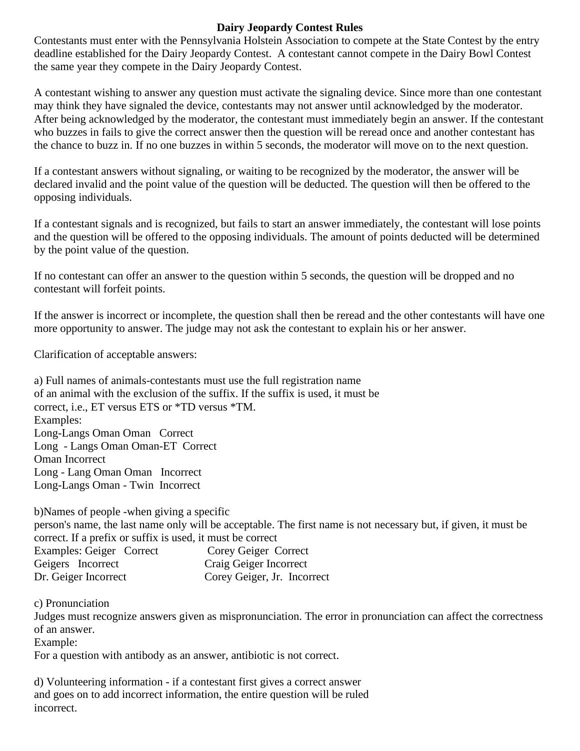## **Dairy Jeopardy Contest Rules**

Contestants must enter with the Pennsylvania Holstein Association to compete at the State Contest by the entry deadline established for the Dairy Jeopardy Contest. A contestant cannot compete in the Dairy Bowl Contest the same year they compete in the Dairy Jeopardy Contest.

A contestant wishing to answer any question must activate the signaling device. Since more than one contestant may think they have signaled the device, contestants may not answer until acknowledged by the moderator. After being acknowledged by the moderator, the contestant must immediately begin an answer. If the contestant who buzzes in fails to give the correct answer then the question will be reread once and another contestant has the chance to buzz in. If no one buzzes in within 5 seconds, the moderator will move on to the next question.

If a contestant answers without signaling, or waiting to be recognized by the moderator, the answer will be declared invalid and the point value of the question will be deducted. The question will then be offered to the opposing individuals.

If a contestant signals and is recognized, but fails to start an answer immediately, the contestant will lose points and the question will be offered to the opposing individuals. The amount of points deducted will be determined by the point value of the question.

If no contestant can offer an answer to the question within 5 seconds, the question will be dropped and no contestant will forfeit points.

If the answer is incorrect or incomplete, the question shall then be reread and the other contestants will have one more opportunity to answer. The judge may not ask the contestant to explain his or her answer.

Clarification of acceptable answers:

a) Full names of animals-contestants must use the full registration name of an animal with the exclusion of the suffix. If the suffix is used, it must be correct, i.e., ET versus ETS or \*TD versus \*TM. Examples: Long-Langs Oman Oman Correct Long - Langs Oman Oman-ET Correct Oman Incorrect Long - Lang Oman Oman Incorrect Long-Langs Oman - Twin Incorrect

b)Names of people -when giving a specific

person's name, the last name only will be acceptable. The first name is not necessary but, if given, it must be correct. If a prefix or suffix is used, it must be correct

| Examples: Geiger Correct | Corey Geiger Correct        |
|--------------------------|-----------------------------|
| Geigers Incorrect        | Craig Geiger Incorrect      |
| Dr. Geiger Incorrect     | Corey Geiger, Jr. Incorrect |

c) Pronunciation

Judges must recognize answers given as mispronunciation. The error in pronunciation can affect the correctness of an answer.

Example:

For a question with antibody as an answer, antibiotic is not correct.

d) Volunteering information - if a contestant first gives a correct answer and goes on to add incorrect information, the entire question will be ruled incorrect.